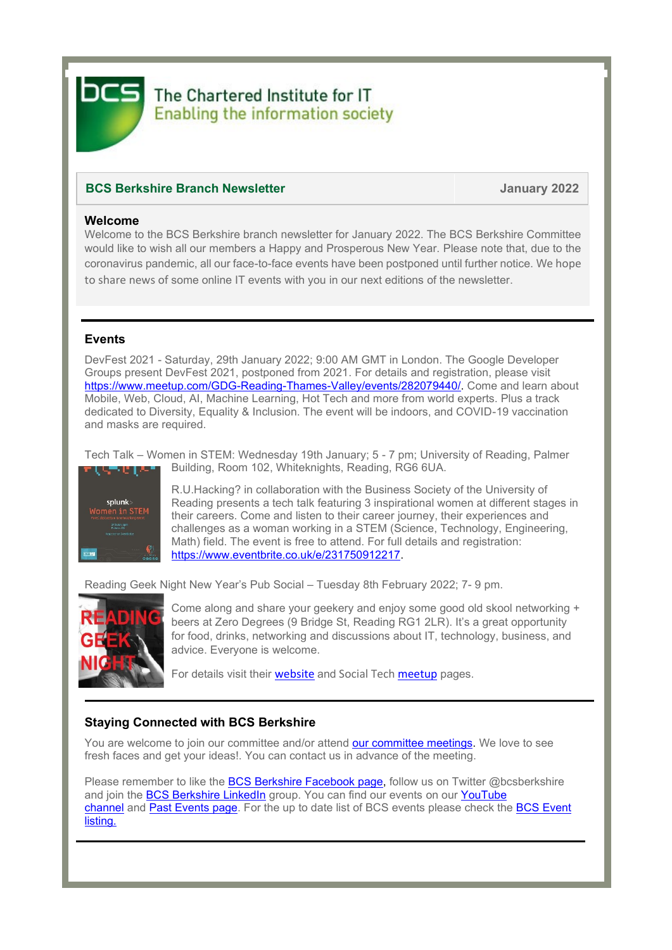The Chartered Institute for IT **Enabling the information society** 

## **BCS Berkshire Branch Newsletter January 2022**

#### **Welcome**

Welcome to the BCS Berkshire branch newsletter for January 2022. The BCS Berkshire Committee would like to wish all our members a Happy and Prosperous New Year. Please note that, due to the coronavirus pandemic, all our face-to-face events have been postponed until further notice. We hope to share news of some online IT events with you in our next editions of the newsletter.

### **Events**

DevFest 2021 - Saturday, 29th January 2022; 9:00 AM GMT in London. The Google Developer Groups present DevFest 2021, postponed from 2021. For details and registration, please visit [https://www.meetup.com/GDG-Reading-Thames-Valley/events/282079440/.](https://www.meetup.com/GDG-Reading-Thames-Valley/events/282079440/) Come and learn about Mobile, Web, Cloud, AI, Machine Learning, Hot Tech and more from world experts. Plus a track dedicated to Diversity, Equality & Inclusion. The event will be indoors, and COVID-19 vaccination and masks are required.

Tech Talk – Women in STEM: Wednesday 19th January; 5 - 7 pm; University of Reading, Palmer Building, Room 102, Whiteknights, Reading, RG6 6UA. ME IAN



R.U.Hacking? in collaboration with the Business Society of the University of Reading presents a tech talk featuring 3 inspirational women at different stages in their careers. Come and listen to their career journey, their experiences and challenges as a woman working in a STEM (Science, Technology, Engineering, Math) field. The event is free to attend. For full details and registration: [https://www.eventbrite.co.uk/e/231750912217.](https://www.eventbrite.co.uk/e/231750912217)

Reading Geek Night New Year's Pub Social – Tuesday 8th February 2022; 7- 9 pm.



Come along and share your geekery and enjoy some good old skool networking + beers at Zero Degrees (9 Bridge St, Reading RG1 2LR). It's a great opportunity for food, drinks, networking and discussions about IT, technology, business, and advice. Everyone is welcome.

For details visit their [website](https://rdggeeknight.wordpress.com/) and [Social Tech meetup](https://www.meetup.com/socialtechgroup/) pages.

#### **Staying Connected with BCS Berkshire**

You are welcome to join our committee and/or attend [our committee meetings.](https://www.bcs.org/membership/member-communities/berkshire-branch/committee/) We love to see fresh faces and get your ideas!. You can contact us in advance of the meeting.

Please remember to like the [BCS Berkshire Facebook page,](https://www.facebook.com/pages/BCS-Berkshire/246243855431896) follow us on Twitter @bcsberkshire and join the [BCS Berkshire LinkedIn](https://www.linkedin.com/groups/5052921/) group. You can find our events on our YouTube [channel](https://www.youtube.com/channel/UCo4nZ_Bf6KVlb5RntpfV3mw) and [Past Events](https://www.bcs.org/membership/member-communities/berkshire-branch/past-events/) page. For the up to date list of BCS events please check the BCS Event [listing.](https://www.bcs.org/events/)